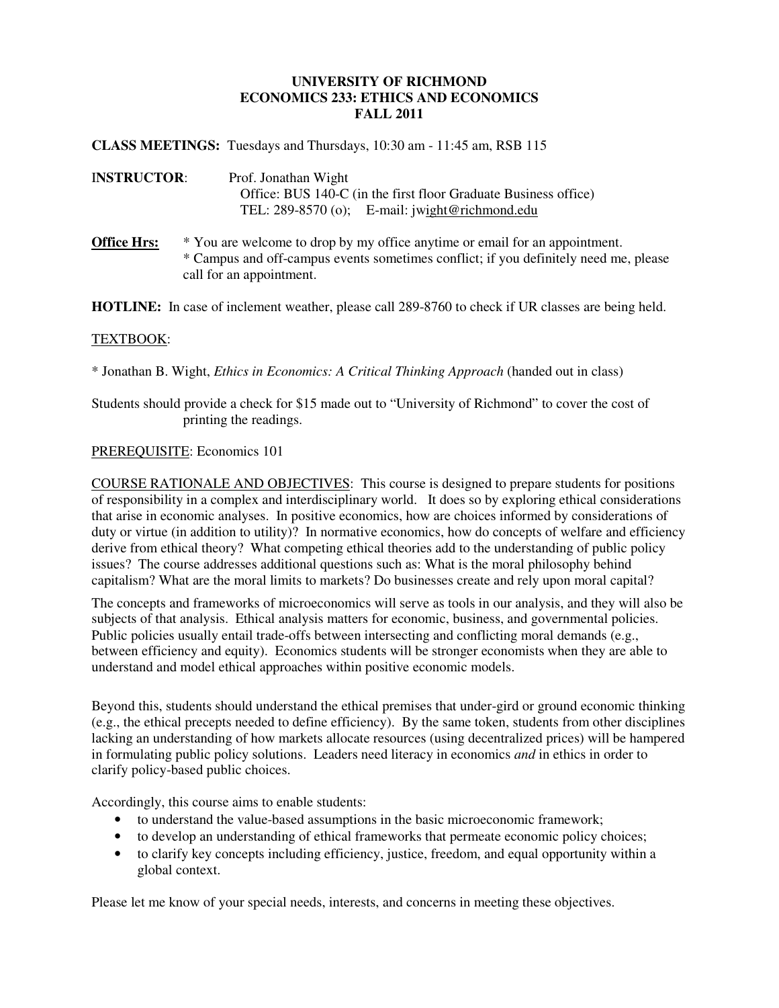# **UNIVERSITY OF RICHMOND ECONOMICS 233: ETHICS AND ECONOMICS FALL 2011**

**CLASS MEETINGS:** Tuesdays and Thursdays, 10:30 am - 11:45 am, RSB 115

- I**NSTRUCTOR**: Prof. Jonathan Wight Office: BUS 140-C (in the first floor Graduate Business office) TEL: 289-8570 (o); E-mail: jwight@richmond.edu
- **Office Hrs:**  $*$  You are welcome to drop by my office anytime or email for an appointment. \* Campus and off-campus events sometimes conflict; if you definitely need me, please call for an appointment.

**HOTLINE:** In case of inclement weather, please call 289-8760 to check if UR classes are being held.

#### TEXTBOOK:

\* Jonathan B. Wight, *Ethics in Economics: A Critical Thinking Approach* (handed out in class)

# Students should provide a check for \$15 made out to "University of Richmond" to cover the cost of printing the readings.

### PREREQUISITE: Economics 101

COURSE RATIONALE AND OBJECTIVES: This course is designed to prepare students for positions of responsibility in a complex and interdisciplinary world. It does so by exploring ethical considerations that arise in economic analyses. In positive economics, how are choices informed by considerations of duty or virtue (in addition to utility)? In normative economics, how do concepts of welfare and efficiency derive from ethical theory? What competing ethical theories add to the understanding of public policy issues? The course addresses additional questions such as: What is the moral philosophy behind capitalism? What are the moral limits to markets? Do businesses create and rely upon moral capital?

The concepts and frameworks of microeconomics will serve as tools in our analysis, and they will also be subjects of that analysis. Ethical analysis matters for economic, business, and governmental policies. Public policies usually entail trade-offs between intersecting and conflicting moral demands (e.g., between efficiency and equity). Economics students will be stronger economists when they are able to understand and model ethical approaches within positive economic models.

Beyond this, students should understand the ethical premises that under-gird or ground economic thinking (e.g., the ethical precepts needed to define efficiency). By the same token, students from other disciplines lacking an understanding of how markets allocate resources (using decentralized prices) will be hampered in formulating public policy solutions. Leaders need literacy in economics *and* in ethics in order to clarify policy-based public choices.

Accordingly, this course aims to enable students:

- to understand the value-based assumptions in the basic microeconomic framework;
- to develop an understanding of ethical frameworks that permeate economic policy choices;
- to clarify key concepts including efficiency, justice, freedom, and equal opportunity within a global context.

Please let me know of your special needs, interests, and concerns in meeting these objectives.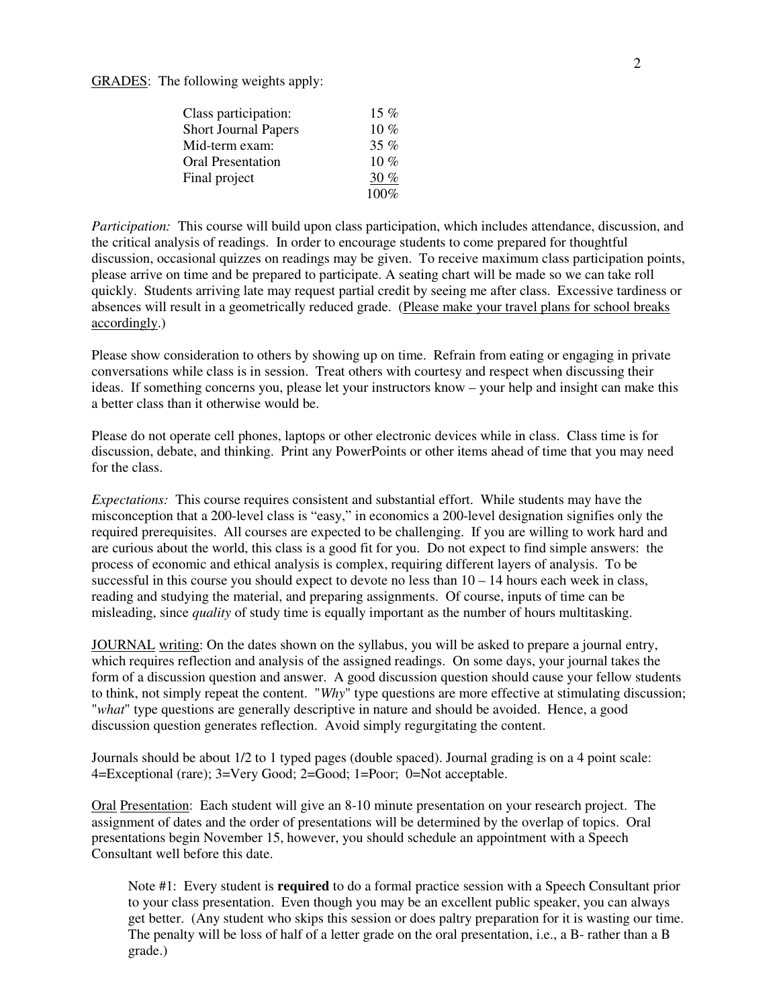GRADES: The following weights apply:

| Class participation:        | $15\%$ |
|-----------------------------|--------|
| <b>Short Journal Papers</b> | $10\%$ |
| Mid-term exam:              | 35%    |
| <b>Oral Presentation</b>    | 10 $%$ |
| Final project               | 30 %   |
|                             | 100%   |

*Participation:* This course will build upon class participation, which includes attendance, discussion, and the critical analysis of readings. In order to encourage students to come prepared for thoughtful discussion, occasional quizzes on readings may be given. To receive maximum class participation points, please arrive on time and be prepared to participate. A seating chart will be made so we can take roll quickly. Students arriving late may request partial credit by seeing me after class. Excessive tardiness or absences will result in a geometrically reduced grade. (Please make your travel plans for school breaks accordingly.)

Please show consideration to others by showing up on time. Refrain from eating or engaging in private conversations while class is in session. Treat others with courtesy and respect when discussing their ideas. If something concerns you, please let your instructors know – your help and insight can make this a better class than it otherwise would be.

Please do not operate cell phones, laptops or other electronic devices while in class. Class time is for discussion, debate, and thinking. Print any PowerPoints or other items ahead of time that you may need for the class.

*Expectations:* This course requires consistent and substantial effort. While students may have the misconception that a 200-level class is "easy," in economics a 200-level designation signifies only the required prerequisites. All courses are expected to be challenging. If you are willing to work hard and are curious about the world, this class is a good fit for you. Do not expect to find simple answers: the process of economic and ethical analysis is complex, requiring different layers of analysis. To be successful in this course you should expect to devote no less than  $10 - 14$  hours each week in class, reading and studying the material, and preparing assignments. Of course, inputs of time can be misleading, since *quality* of study time is equally important as the number of hours multitasking.

JOURNAL writing: On the dates shown on the syllabus, you will be asked to prepare a journal entry, which requires reflection and analysis of the assigned readings. On some days, your journal takes the form of a discussion question and answer. A good discussion question should cause your fellow students to think, not simply repeat the content. "*Why*" type questions are more effective at stimulating discussion; "*what*" type questions are generally descriptive in nature and should be avoided. Hence, a good discussion question generates reflection. Avoid simply regurgitating the content.

Journals should be about 1/2 to 1 typed pages (double spaced). Journal grading is on a 4 point scale: 4=Exceptional (rare); 3=Very Good; 2=Good; 1=Poor; 0=Not acceptable.

Oral Presentation: Each student will give an 8-10 minute presentation on your research project. The assignment of dates and the order of presentations will be determined by the overlap of topics. Oral presentations begin November 15, however, you should schedule an appointment with a Speech Consultant well before this date.

Note #1: Every student is **required** to do a formal practice session with a Speech Consultant prior to your class presentation. Even though you may be an excellent public speaker, you can always get better. (Any student who skips this session or does paltry preparation for it is wasting our time. The penalty will be loss of half of a letter grade on the oral presentation, i.e., a B- rather than a B grade.)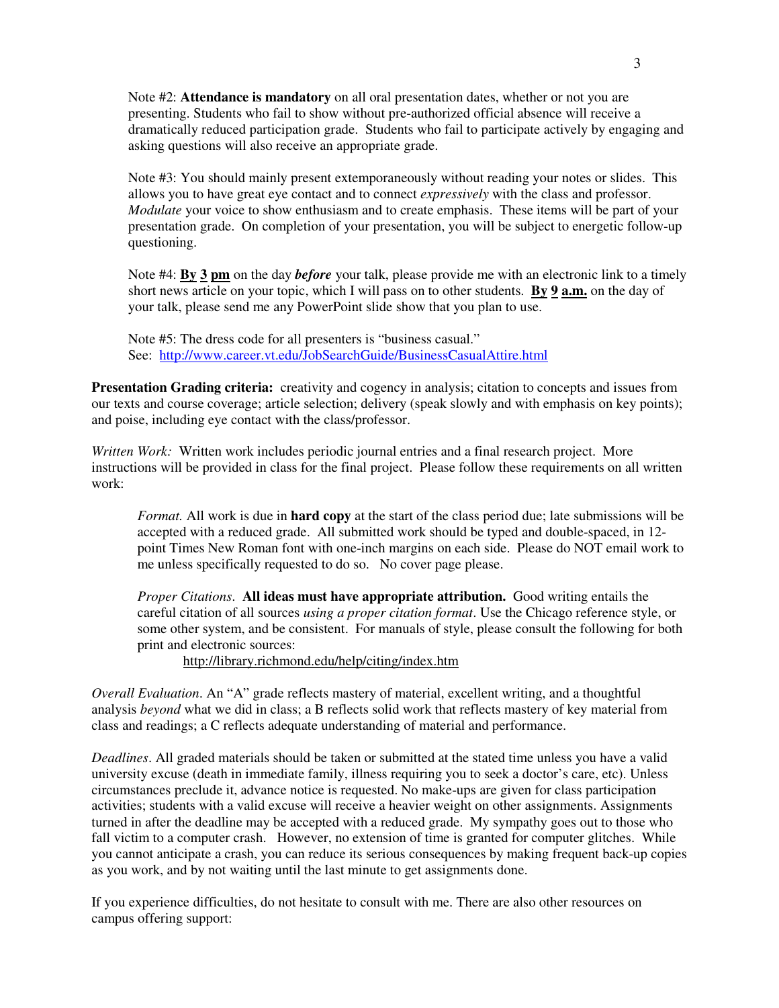Note #2: **Attendance is mandatory** on all oral presentation dates, whether or not you are presenting. Students who fail to show without pre-authorized official absence will receive a dramatically reduced participation grade. Students who fail to participate actively by engaging and asking questions will also receive an appropriate grade.

Note #3: You should mainly present extemporaneously without reading your notes or slides. This allows you to have great eye contact and to connect *expressively* with the class and professor. *Modulate* your voice to show enthusiasm and to create emphasis. These items will be part of your presentation grade. On completion of your presentation, you will be subject to energetic follow-up questioning.

Note #4: **By 3 pm** on the day *before* your talk, please provide me with an electronic link to a timely short news article on your topic, which I will pass on to other students. **By 9 a.m.** on the day of your talk, please send me any PowerPoint slide show that you plan to use.

Note #5: The dress code for all presenters is "business casual." See: http://www.career.vt.edu/JobSearchGuide/BusinessCasualAttire.html

**Presentation Grading criteria:** creativity and cogency in analysis; citation to concepts and issues from our texts and course coverage; article selection; delivery (speak slowly and with emphasis on key points); and poise, including eye contact with the class/professor.

*Written Work:* Written work includes periodic journal entries and a final research project. More instructions will be provided in class for the final project. Please follow these requirements on all written work:

*Format.* All work is due in **hard copy** at the start of the class period due; late submissions will be accepted with a reduced grade. All submitted work should be typed and double-spaced, in 12 point Times New Roman font with one-inch margins on each side. Please do NOT email work to me unless specifically requested to do so. No cover page please.

*Proper Citations*. **All ideas must have appropriate attribution.** Good writing entails the careful citation of all sources *using a proper citation format*. Use the Chicago reference style, or some other system, and be consistent. For manuals of style, please consult the following for both print and electronic sources:

http://library.richmond.edu/help/citing/index.htm

*Overall Evaluation*. An "A" grade reflects mastery of material, excellent writing, and a thoughtful analysis *beyond* what we did in class; a B reflects solid work that reflects mastery of key material from class and readings; a C reflects adequate understanding of material and performance.

*Deadlines*. All graded materials should be taken or submitted at the stated time unless you have a valid university excuse (death in immediate family, illness requiring you to seek a doctor's care, etc). Unless circumstances preclude it, advance notice is requested. No make-ups are given for class participation activities; students with a valid excuse will receive a heavier weight on other assignments. Assignments turned in after the deadline may be accepted with a reduced grade. My sympathy goes out to those who fall victim to a computer crash. However, no extension of time is granted for computer glitches. While you cannot anticipate a crash, you can reduce its serious consequences by making frequent back-up copies as you work, and by not waiting until the last minute to get assignments done.

If you experience difficulties, do not hesitate to consult with me. There are also other resources on campus offering support: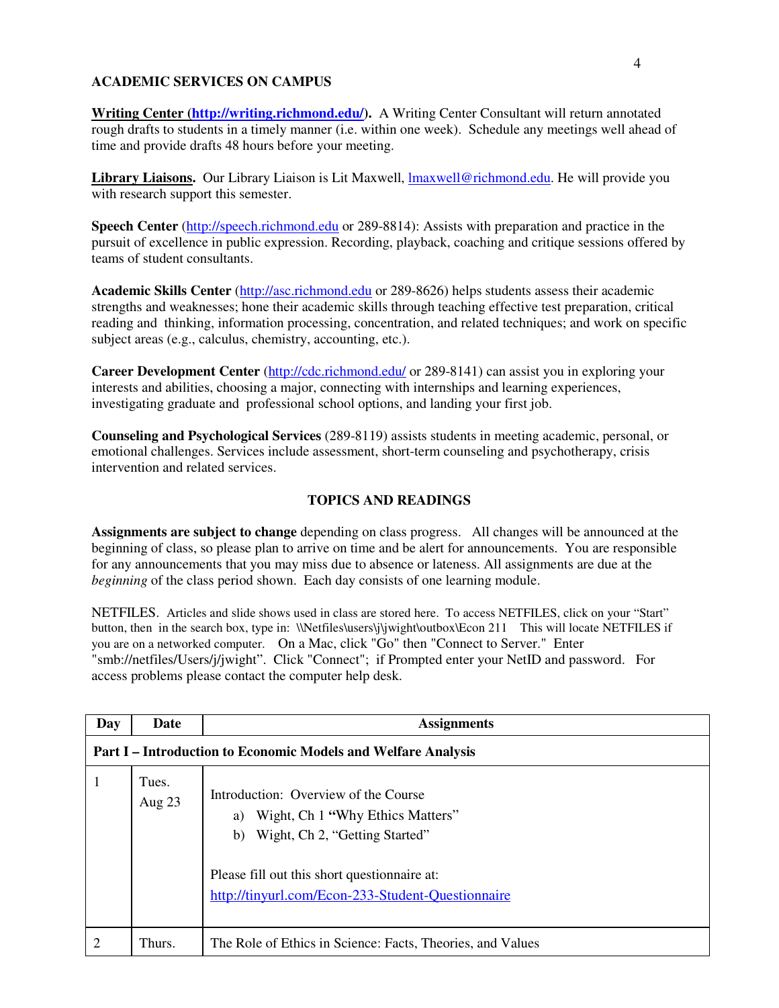# **ACADEMIC SERVICES ON CAMPUS**

**Writing Center (http://writing.richmond.edu/).** A Writing Center Consultant will return annotated rough drafts to students in a timely manner (i.e. within one week). Schedule any meetings well ahead of time and provide drafts 48 hours before your meeting.

**Library Liaisons.** Our Library Liaison is Lit Maxwell, lmaxwell@richmond.edu. He will provide you with research support this semester.

**Speech Center** (http://speech.richmond.edu or 289-8814): Assists with preparation and practice in the pursuit of excellence in public expression. Recording, playback, coaching and critique sessions offered by teams of student consultants.

**Academic Skills Center** (http://asc.richmond.edu or 289-8626) helps students assess their academic strengths and weaknesses; hone their academic skills through teaching effective test preparation, critical reading and thinking, information processing, concentration, and related techniques; and work on specific subject areas (e.g., calculus, chemistry, accounting, etc.).

**Career Development Center** (http://cdc.richmond.edu/ or 289-8141) can assist you in exploring your interests and abilities, choosing a major, connecting with internships and learning experiences, investigating graduate and professional school options, and landing your first job.

**Counseling and Psychological Services** (289-8119) assists students in meeting academic, personal, or emotional challenges. Services include assessment, short-term counseling and psychotherapy, crisis intervention and related services.

# **TOPICS AND READINGS**

**Assignments are subject to change** depending on class progress. All changes will be announced at the beginning of class, so please plan to arrive on time and be alert for announcements. You are responsible for any announcements that you may miss due to absence or lateness. All assignments are due at the *beginning* of the class period shown. Each day consists of one learning module.

NETFILES. Articles and slide shows used in class are stored here. To access NETFILES, click on your "Start" button, then in the search box, type in: \\Netfiles\users\j\jwight\outbox\Econ 211 This will locate NETFILES if you are on a networked computer. On a Mac, click "Go" then "Connect to Server." Enter "smb://netfiles/Users/j/jwight". Click "Connect"; if Prompted enter your NetID and password. For access problems please contact the computer help desk.

| Day | Date                                                                 | <b>Assignments</b>                                                                                                                                                                                                          |  |
|-----|----------------------------------------------------------------------|-----------------------------------------------------------------------------------------------------------------------------------------------------------------------------------------------------------------------------|--|
|     | <b>Part I – Introduction to Economic Models and Welfare Analysis</b> |                                                                                                                                                                                                                             |  |
| 1   | Tues.<br>Aug 23                                                      | Introduction: Overview of the Course<br>Wight, Ch 1 "Why Ethics Matters"<br>a)<br>Wight, Ch 2, "Getting Started"<br>b)<br>Please fill out this short questionnaire at:<br>http://tinyurl.com/Econ-233-Student-Questionnaire |  |
| 2   | Thurs.                                                               | The Role of Ethics in Science: Facts, Theories, and Values                                                                                                                                                                  |  |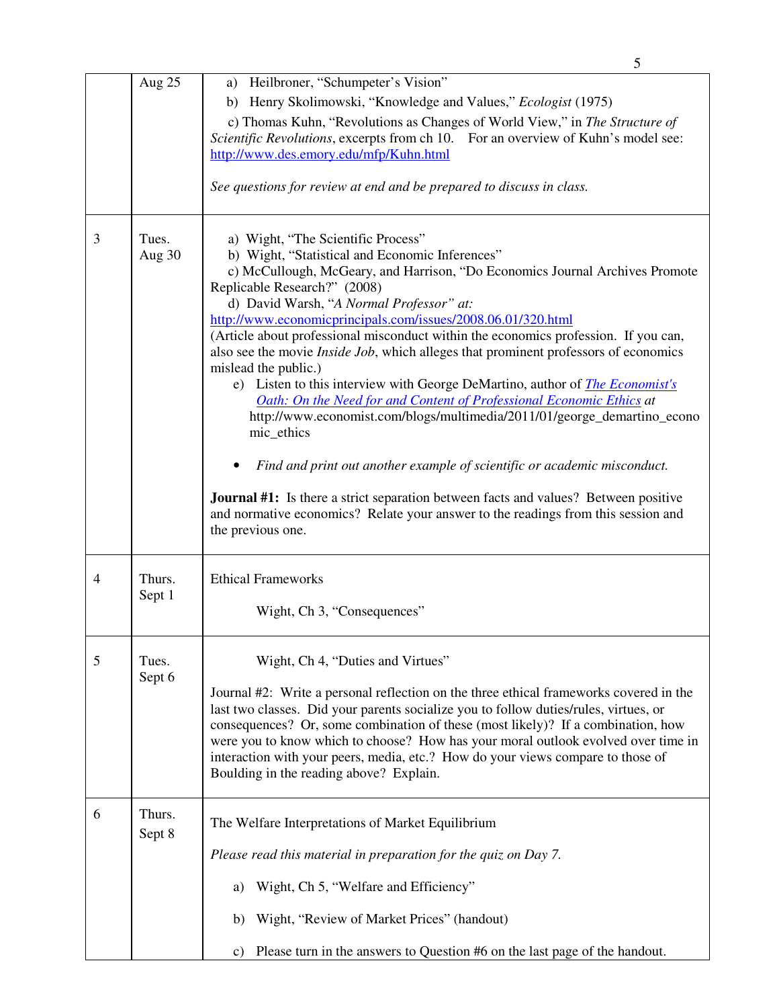|   |                  | 5                                                                                                                                                                                                                                                                                                                                                                                                                                                                                                                                                                                                                                                                                                                                                                                                                                                                                                                                                                                                                                                                            |
|---|------------------|------------------------------------------------------------------------------------------------------------------------------------------------------------------------------------------------------------------------------------------------------------------------------------------------------------------------------------------------------------------------------------------------------------------------------------------------------------------------------------------------------------------------------------------------------------------------------------------------------------------------------------------------------------------------------------------------------------------------------------------------------------------------------------------------------------------------------------------------------------------------------------------------------------------------------------------------------------------------------------------------------------------------------------------------------------------------------|
|   | Aug 25           | a) Heilbroner, "Schumpeter's Vision"<br>b) Henry Skolimowski, "Knowledge and Values," Ecologist (1975)<br>c) Thomas Kuhn, "Revolutions as Changes of World View," in The Structure of<br>Scientific Revolutions, excerpts from ch 10. For an overview of Kuhn's model see:<br>http://www.des.emory.edu/mfp/Kuhn.html<br>See questions for review at end and be prepared to discuss in class.                                                                                                                                                                                                                                                                                                                                                                                                                                                                                                                                                                                                                                                                                 |
| 3 | Tues.<br>Aug 30  | a) Wight, "The Scientific Process"<br>b) Wight, "Statistical and Economic Inferences"<br>c) McCullough, McGeary, and Harrison, "Do Economics Journal Archives Promote<br>Replicable Research?" (2008)<br>d) David Warsh, "A Normal Professor" at:<br>http://www.economicprincipals.com/issues/2008.06.01/320.html<br>(Article about professional misconduct within the economics profession. If you can,<br>also see the movie <i>Inside Job</i> , which alleges that prominent professors of economics<br>mislead the public.)<br>e) Listen to this interview with George DeMartino, author of <i>The Economist's</i><br>Oath: On the Need for and Content of Professional Economic Ethics at<br>http://www.economist.com/blogs/multimedia/2011/01/george_demartino_econo<br>mic_ethics<br>Find and print out another example of scientific or academic misconduct.<br><b>Journal #1:</b> Is there a strict separation between facts and values? Between positive<br>and normative economics? Relate your answer to the readings from this session and<br>the previous one. |
| 4 | Thurs.<br>Sept 1 | <b>Ethical Frameworks</b><br>Wight, Ch 3, "Consequences"                                                                                                                                                                                                                                                                                                                                                                                                                                                                                                                                                                                                                                                                                                                                                                                                                                                                                                                                                                                                                     |
| 5 | Tues.<br>Sept 6  | Wight, Ch 4, "Duties and Virtues"<br>Journal #2: Write a personal reflection on the three ethical frameworks covered in the<br>last two classes. Did your parents socialize you to follow duties/rules, virtues, or<br>consequences? Or, some combination of these (most likely)? If a combination, how<br>were you to know which to choose? How has your moral outlook evolved over time in<br>interaction with your peers, media, etc.? How do your views compare to those of<br>Boulding in the reading above? Explain.                                                                                                                                                                                                                                                                                                                                                                                                                                                                                                                                                   |
| 6 | Thurs.<br>Sept 8 | The Welfare Interpretations of Market Equilibrium<br>Please read this material in preparation for the quiz on Day 7.<br>Wight, Ch 5, "Welfare and Efficiency"<br>a)<br>Wight, "Review of Market Prices" (handout)<br>b)<br>Please turn in the answers to Question #6 on the last page of the handout.<br>$\mathbf{c}$ )                                                                                                                                                                                                                                                                                                                                                                                                                                                                                                                                                                                                                                                                                                                                                      |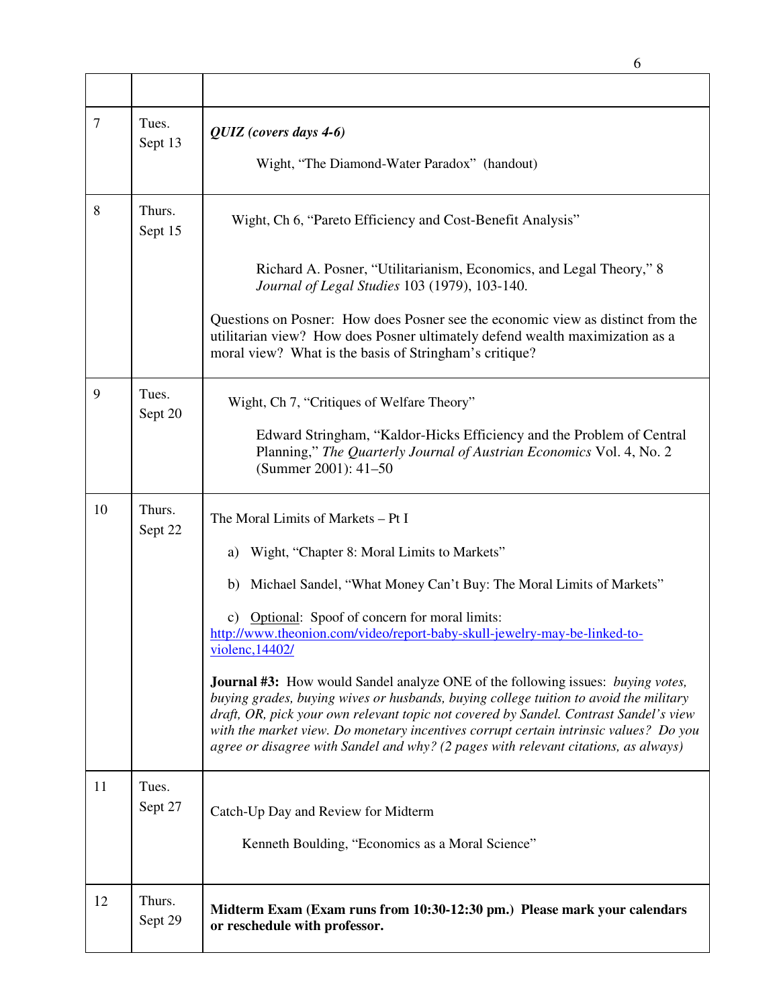|                |                   | 6                                                                                                                                                                                                                                                                                                                                                                                                                                                                |
|----------------|-------------------|------------------------------------------------------------------------------------------------------------------------------------------------------------------------------------------------------------------------------------------------------------------------------------------------------------------------------------------------------------------------------------------------------------------------------------------------------------------|
|                |                   |                                                                                                                                                                                                                                                                                                                                                                                                                                                                  |
| $\overline{7}$ | Tues.<br>Sept 13  | QUIZ (covers days 4-6)<br>Wight, "The Diamond-Water Paradox" (handout)                                                                                                                                                                                                                                                                                                                                                                                           |
| 8              | Thurs.<br>Sept 15 | Wight, Ch 6, "Pareto Efficiency and Cost-Benefit Analysis"                                                                                                                                                                                                                                                                                                                                                                                                       |
|                |                   | Richard A. Posner, "Utilitarianism, Economics, and Legal Theory," 8<br>Journal of Legal Studies 103 (1979), 103-140.                                                                                                                                                                                                                                                                                                                                             |
|                |                   | Questions on Posner: How does Posner see the economic view as distinct from the<br>utilitarian view? How does Posner ultimately defend wealth maximization as a<br>moral view? What is the basis of Stringham's critique?                                                                                                                                                                                                                                        |
| 9              | Tues.<br>Sept 20  | Wight, Ch 7, "Critiques of Welfare Theory"                                                                                                                                                                                                                                                                                                                                                                                                                       |
|                |                   | Edward Stringham, "Kaldor-Hicks Efficiency and the Problem of Central<br>Planning," The Quarterly Journal of Austrian Economics Vol. 4, No. 2<br>(Summer 2001): 41-50                                                                                                                                                                                                                                                                                            |
| 10             | Thurs.<br>Sept 22 | The Moral Limits of Markets – Pt I                                                                                                                                                                                                                                                                                                                                                                                                                               |
|                |                   | Wight, "Chapter 8: Moral Limits to Markets"<br>a)                                                                                                                                                                                                                                                                                                                                                                                                                |
|                |                   | Michael Sandel, "What Money Can't Buy: The Moral Limits of Markets"<br>b)                                                                                                                                                                                                                                                                                                                                                                                        |
|                |                   | c) Optional: Spoof of concern for moral limits:<br>http://www.theonion.com/video/report-baby-skull-jewelry-may-be-linked-to-<br>violenc, 14402/                                                                                                                                                                                                                                                                                                                  |
|                |                   | <b>Journal #3:</b> How would Sandel analyze ONE of the following issues: <i>buying votes</i> ,<br>buying grades, buying wives or husbands, buying college tuition to avoid the military<br>draft, OR, pick your own relevant topic not covered by Sandel. Contrast Sandel's view<br>with the market view. Do monetary incentives corrupt certain intrinsic values? Do you<br>agree or disagree with Sandel and why? (2 pages with relevant citations, as always) |
| 11             | Tues.<br>Sept 27  | Catch-Up Day and Review for Midterm                                                                                                                                                                                                                                                                                                                                                                                                                              |
|                |                   | Kenneth Boulding, "Economics as a Moral Science"                                                                                                                                                                                                                                                                                                                                                                                                                 |
| 12             | Thurs.<br>Sept 29 | Midterm Exam (Exam runs from 10:30-12:30 pm.) Please mark your calendars<br>or reschedule with professor.                                                                                                                                                                                                                                                                                                                                                        |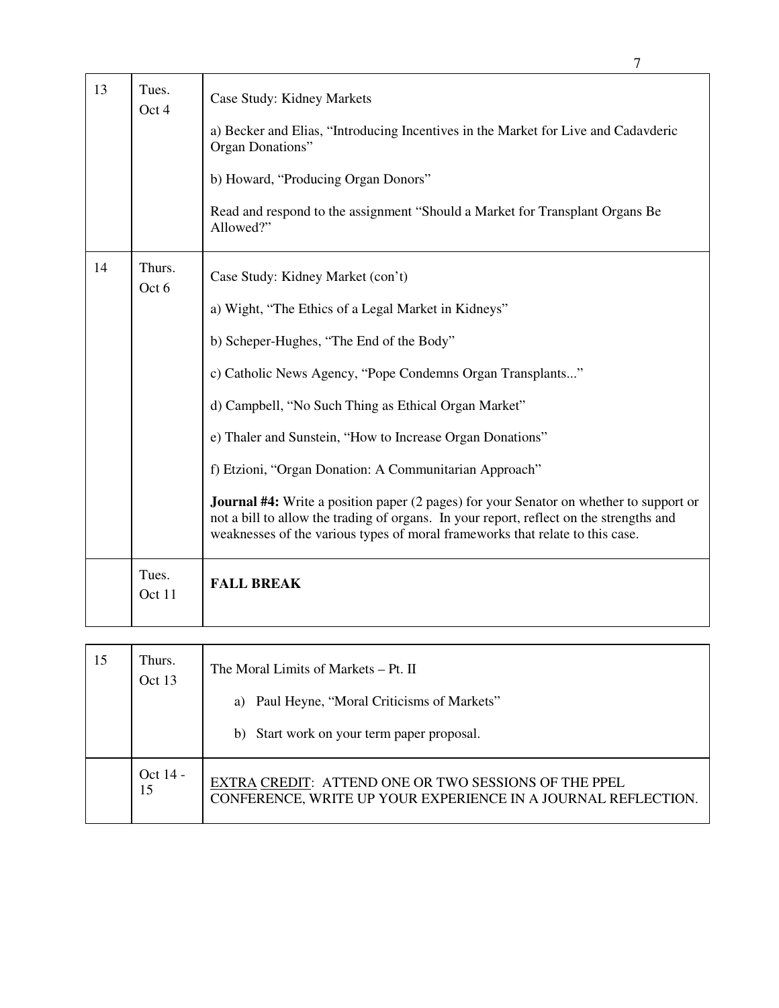| 13 | Tues.<br>Oct 4  | Case Study: Kidney Markets<br>a) Becker and Elias, "Introducing Incentives in the Market for Live and Cadavderic<br>Organ Donations"<br>b) Howard, "Producing Organ Donors"<br>Read and respond to the assignment "Should a Market for Transplant Organs Be<br>Allowed?"                                                                                                                                                                                                                                                                                                                                                                                       |
|----|-----------------|----------------------------------------------------------------------------------------------------------------------------------------------------------------------------------------------------------------------------------------------------------------------------------------------------------------------------------------------------------------------------------------------------------------------------------------------------------------------------------------------------------------------------------------------------------------------------------------------------------------------------------------------------------------|
| 14 | Thurs.<br>Oct 6 | Case Study: Kidney Market (con't)<br>a) Wight, "The Ethics of a Legal Market in Kidneys"<br>b) Scheper-Hughes, "The End of the Body"<br>c) Catholic News Agency, "Pope Condemns Organ Transplants"<br>d) Campbell, "No Such Thing as Ethical Organ Market"<br>e) Thaler and Sunstein, "How to Increase Organ Donations"<br>f) Etzioni, "Organ Donation: A Communitarian Approach"<br><b>Journal #4:</b> Write a position paper (2 pages) for your Senator on whether to support or<br>not a bill to allow the trading of organs. In your report, reflect on the strengths and<br>weaknesses of the various types of moral frameworks that relate to this case. |
|    | Tues.<br>Oct 11 | <b>FALL BREAK</b>                                                                                                                                                                                                                                                                                                                                                                                                                                                                                                                                                                                                                                              |

| 15 | Thurs.<br>Oct 13 | The Moral Limits of Markets – Pt. II<br>a) Paul Heyne, "Moral Criticisms of Markets"<br>b) Start work on your term paper proposal. |
|----|------------------|------------------------------------------------------------------------------------------------------------------------------------|
|    | Oct $14$ -<br>15 | EXTRA CREDIT: ATTEND ONE OR TWO SESSIONS OF THE PPEL<br>CONFERENCE, WRITE UP YOUR EXPERIENCE IN A JOURNAL REFLECTION.              |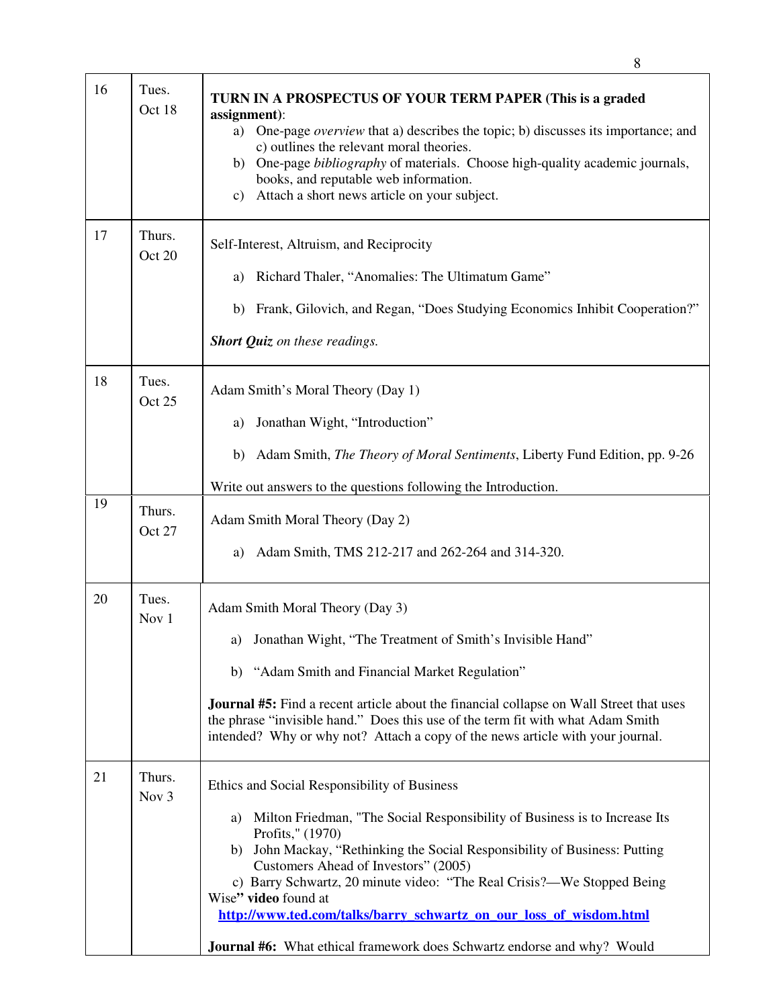| 16 | Tues.<br>Oct 18            | TURN IN A PROSPECTUS OF YOUR TERM PAPER (This is a graded<br>assignment):<br>One-page overview that a) describes the topic; b) discusses its importance; and<br>a)<br>c) outlines the relevant moral theories.<br>One-page bibliography of materials. Choose high-quality academic journals,<br>b)<br>books, and reputable web information.<br>Attach a short news article on your subject.<br>c)                                                                                                                                    |
|----|----------------------------|--------------------------------------------------------------------------------------------------------------------------------------------------------------------------------------------------------------------------------------------------------------------------------------------------------------------------------------------------------------------------------------------------------------------------------------------------------------------------------------------------------------------------------------|
| 17 | Thurs.<br>Oct 20           | Self-Interest, Altruism, and Reciprocity<br>Richard Thaler, "Anomalies: The Ultimatum Game"<br>a)<br>Frank, Gilovich, and Regan, "Does Studying Economics Inhibit Cooperation?"<br>b)<br><b>Short Quiz</b> on these readings.                                                                                                                                                                                                                                                                                                        |
| 18 | Tues.<br>Oct 25            | Adam Smith's Moral Theory (Day 1)<br>Jonathan Wight, "Introduction"<br>a)<br>Adam Smith, <i>The Theory of Moral Sentiments</i> , Liberty Fund Edition, pp. 9-26<br>b)<br>Write out answers to the questions following the Introduction.                                                                                                                                                                                                                                                                                              |
| 19 | Thurs.<br>Oct 27           | Adam Smith Moral Theory (Day 2)<br>Adam Smith, TMS 212-217 and 262-264 and 314-320.<br>a)                                                                                                                                                                                                                                                                                                                                                                                                                                            |
| 20 | Tues.<br>Nov 1             | Adam Smith Moral Theory (Day 3)<br>Jonathan Wight, "The Treatment of Smith's Invisible Hand"<br>a)<br>b) "Adam Smith and Financial Market Regulation"<br><b>Journal #5:</b> Find a recent article about the financial collapse on Wall Street that uses<br>the phrase "invisible hand." Does this use of the term fit with what Adam Smith<br>intended? Why or why not? Attach a copy of the news article with your journal.                                                                                                         |
| 21 | Thurs.<br>Nov <sub>3</sub> | Ethics and Social Responsibility of Business<br>Milton Friedman, "The Social Responsibility of Business is to Increase Its<br>a)<br>Profits," (1970)<br>b) John Mackay, "Rethinking the Social Responsibility of Business: Putting<br>Customers Ahead of Investors" (2005)<br>c) Barry Schwartz, 20 minute video: "The Real Crisis?—We Stopped Being<br>Wise" video found at<br>http://www.ted.com/talks/barry_schwartz_on_our_loss_of_wisdom.html<br><b>Journal #6:</b> What ethical framework does Schwartz endorse and why? Would |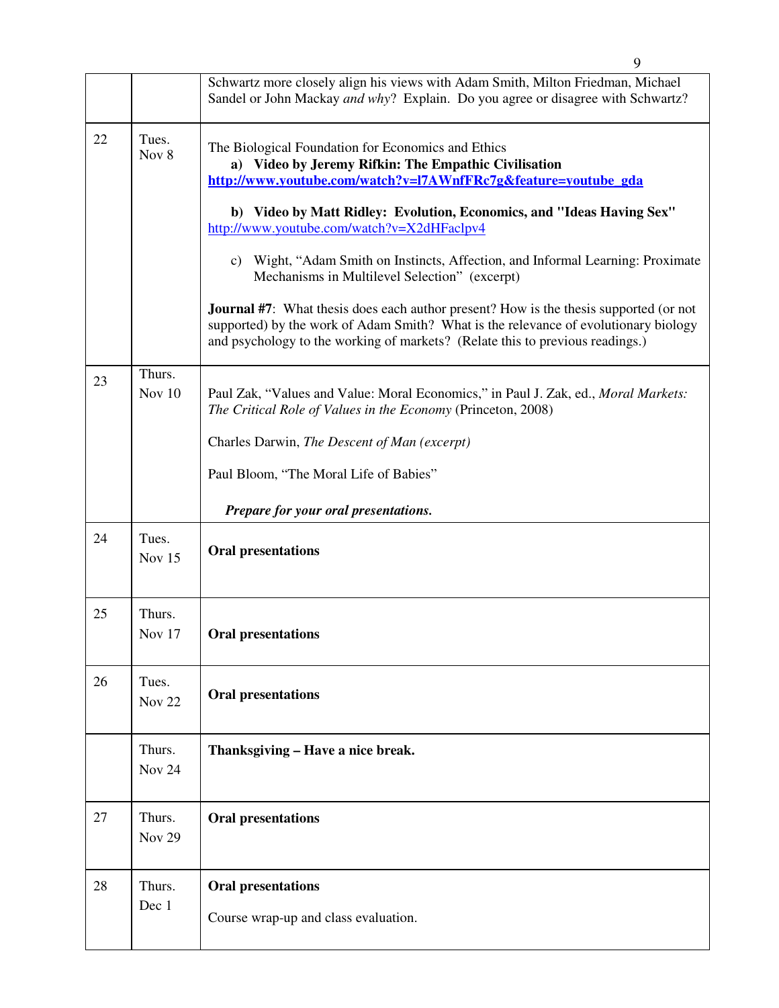|    |                         | 9                                                                                                                                                                                                                                                                                                                                                                                                                                                                                                                                                                                                                                                                                                               |
|----|-------------------------|-----------------------------------------------------------------------------------------------------------------------------------------------------------------------------------------------------------------------------------------------------------------------------------------------------------------------------------------------------------------------------------------------------------------------------------------------------------------------------------------------------------------------------------------------------------------------------------------------------------------------------------------------------------------------------------------------------------------|
|    |                         | Schwartz more closely align his views with Adam Smith, Milton Friedman, Michael<br>Sandel or John Mackay and why? Explain. Do you agree or disagree with Schwartz?                                                                                                                                                                                                                                                                                                                                                                                                                                                                                                                                              |
| 22 | Tues.<br>Nov 8          | The Biological Foundation for Economics and Ethics<br>a) Video by Jeremy Rifkin: The Empathic Civilisation<br>http://www.youtube.com/watch?v=l7AWnfFRc7g&feature=youtube_gda<br>b) Video by Matt Ridley: Evolution, Economics, and "Ideas Having Sex"<br>http://www.youtube.com/watch?v=X2dHFaclpv4<br>c) Wight, "Adam Smith on Instincts, Affection, and Informal Learning: Proximate<br>Mechanisms in Multilevel Selection" (excerpt)<br><b>Journal #7:</b> What thesis does each author present? How is the thesis supported (or not<br>supported) by the work of Adam Smith? What is the relevance of evolutionary biology<br>and psychology to the working of markets? (Relate this to previous readings.) |
| 23 | Thurs.<br>Nov $10$      | Paul Zak, "Values and Value: Moral Economics," in Paul J. Zak, ed., Moral Markets:<br>The Critical Role of Values in the Economy (Princeton, 2008)<br>Charles Darwin, The Descent of Man (excerpt)<br>Paul Bloom, "The Moral Life of Babies"<br>Prepare for your oral presentations.                                                                                                                                                                                                                                                                                                                                                                                                                            |
| 24 | Tues.<br>Nov $15$       | <b>Oral presentations</b>                                                                                                                                                                                                                                                                                                                                                                                                                                                                                                                                                                                                                                                                                       |
| 25 | Thurs.<br>Nov 17        | <b>Oral presentations</b>                                                                                                                                                                                                                                                                                                                                                                                                                                                                                                                                                                                                                                                                                       |
| 26 | Tues.<br><b>Nov 22</b>  | <b>Oral presentations</b>                                                                                                                                                                                                                                                                                                                                                                                                                                                                                                                                                                                                                                                                                       |
|    | Thurs.<br><b>Nov 24</b> | Thanksgiving - Have a nice break.                                                                                                                                                                                                                                                                                                                                                                                                                                                                                                                                                                                                                                                                               |
| 27 | Thurs.<br><b>Nov 29</b> | <b>Oral presentations</b>                                                                                                                                                                                                                                                                                                                                                                                                                                                                                                                                                                                                                                                                                       |
| 28 | Thurs.<br>Dec 1         | <b>Oral presentations</b><br>Course wrap-up and class evaluation.                                                                                                                                                                                                                                                                                                                                                                                                                                                                                                                                                                                                                                               |